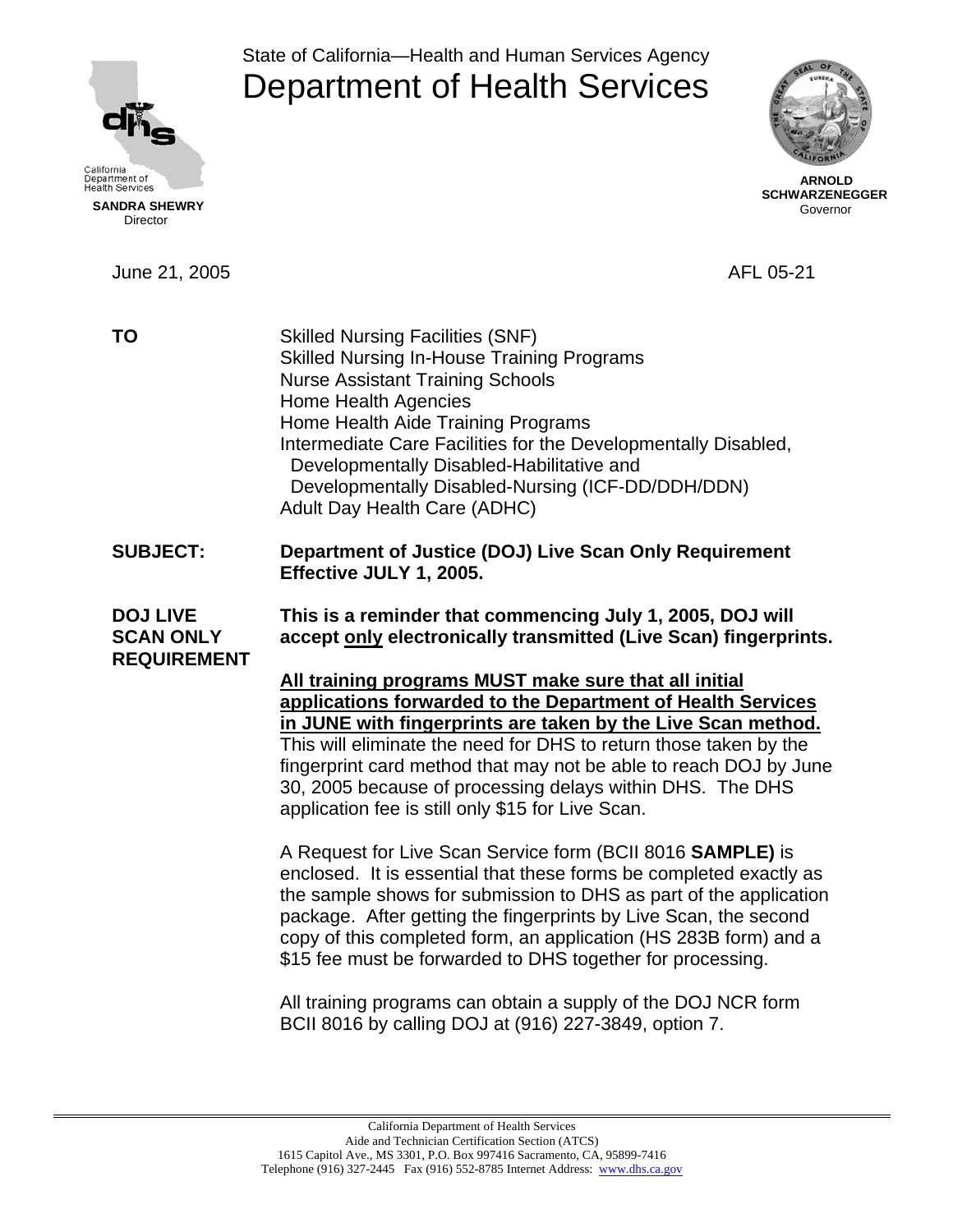

Director

State of California—Health and Human Services Agency Department of Health Services



 **ARNOLD SCHWARZENEGGER** Governor

June 21, 2005 AFL 05-21 **TO** Skilled Nursing Facilities (SNF) Skilled Nursing In-House Training Programs Nurse Assistant Training Schools Home Health Agencies Home Health Aide Training Programs Intermediate Care Facilities for the Developmentally Disabled, Developmentally Disabled-Habilitative and Developmentally Disabled-Nursing (ICF-DD/DDH/DDN) Adult Day Health Care (ADHC) **SUBJECT: Department of Justice (DOJ) Live Scan Only Requirement Effective JULY 1, 2005. DOJ LIVE This is a reminder that commencing July 1, 2005, DOJ will SCAN ONLY accept only electronically transmitted (Live Scan) fingerprints. REQUIREMENT All training programs MUST make sure that all initial applications forwarded to the Department of Health Services in JUNE with fingerprints are taken by the Live Scan method.**  This will eliminate the need for DHS to return those taken by the fingerprint card method that may not be able to reach DOJ by June 30, 2005 because of processing delays within DHS. The DHS application fee is still only \$15 for Live Scan. A Request for Live Scan Service form (BCII 8016 **SAMPLE)** is

enclosed. It is essential that these forms be completed exactly as the sample shows for submission to DHS as part of the application package. After getting the fingerprints by Live Scan, the second copy of this completed form, an application (HS 283B form) and a \$15 fee must be forwarded to DHS together for processing.

All training programs can obtain a supply of the DOJ NCR form BCII 8016 by calling DOJ at (916) 227-3849, option 7.